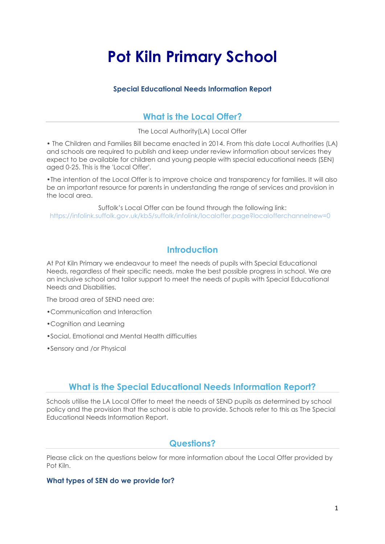# **Pot Kiln Primary School**

## **Special Educational Needs Information Report**

# **What is the Local Offer?**

The Local Authority(LA) Local Offer

• The Children and Families Bill became enacted in 2014. From this date Local Authorities (LA) and schools are required to publish and keep under review information about services they expect to be available for children and young people with special educational needs (SEN) aged 0-25. This is the 'Local Offer'.

•The intention of the Local Offer is to improve choice and transparency for families. It will also be an important resource for parents in understanding the range of services and provision in the local area.

Suffolk's Local Offer can be found through the following link: https://infolink.suffolk.gov.uk/kb5/suffolk/infolink/localoffer.page?localofferchannelnew=0

# **Introduction**

At Pot Kiln Primary we endeavour to meet the needs of pupils with Special Educational Needs, regardless of their specific needs, make the best possible progress in school. We are an inclusive school and tailor support to meet the needs of pupils with Special Educational Needs and Disabilities.

The broad area of SEND need are:

- •Communication and Interaction
- •Cognition and Learning
- •Social, Emotional and Mental Health difficulties
- •Sensory and /or Physical

# **What is the Special Educational Needs Information Report?**

Schools utilise the LA Local Offer to meet the needs of SEND pupils as determined by school policy and the provision that the school is able to provide. Schools refer to this as The Special Educational Needs Information Report.

## **Questions?**

Please click on the questions below for more information about the Local Offer provided by Pot Kiln.

## **What types of SEN do we provide for?**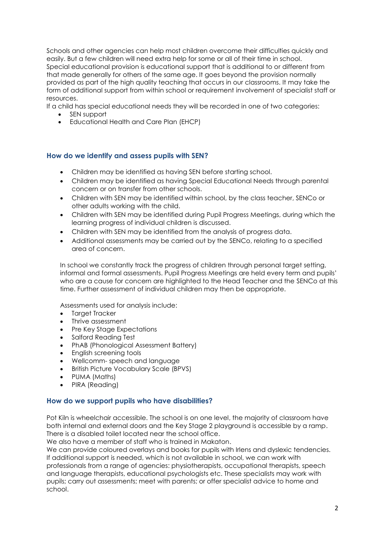Schools and other agencies can help most children overcome their difficulties quickly and easily. But a few children will need extra help for some or all of their time in school. Special educational provision is educational support that is additional to or different from that made generally for others of the same age. It goes beyond the provision normally provided as part of the high quality teaching that occurs in our classrooms. It may take the form of additional support from within school or requirement involvement of specialist staff or resources.

If a child has special educational needs they will be recorded in one of two categories:

- SEN support
- Educational Health and Care Plan (EHCP)

## **How do we identify and assess pupils with SEN?**

- Children may be identified as having SEN before starting school.
- Children may be identified as having Special Educational Needs through parental concern or on transfer from other schools.
- Children with SEN may be identified within school, by the class teacher, SENCo or other adults working with the child.
- Children with SEN may be identified during Pupil Progress Meetings, during which the learning progress of individual children is discussed.
- Children with SEN may be identified from the analysis of progress data.
- Additional assessments may be carried out by the SENCo, relating to a specified area of concern.

In school we constantly track the progress of children through personal target setting, informal and formal assessments. Pupil Progress Meetings are held every term and pupils' who are a cause for concern are highlighted to the Head Teacher and the SENCo at this time. Further assessment of individual children may then be appropriate.

Assessments used for analysis include:

- Target Tracker
- Thrive assessment
- Pre Key Stage Expectations
- Salford Reading Test
- PhAB (Phonological Assessment Battery)
- English screening tools
- Wellcomm- speech and language
- British Picture Vocabulary Scale (BPVS)
- PUMA (Maths)
- PIRA (Reading)

## **How do we support pupils who have disabilities?**

Pot Kiln is wheelchair accessible. The school is on one level, the majority of classroom have both internal and external doors and the Key Stage 2 playground is accessible by a ramp. There is a disabled toilet located near the school office.

We also have a member of staff who is trained in Makaton.

We can provide coloured overlays and books for pupils with Irlens and dyslexic tendencies. If additional support is needed, which is not available in school, we can work with professionals from a range of agencies: physiotherapists, occupational therapists, speech and language therapists, educational psychologists etc. These specialists may work with pupils; carry out assessments; meet with parents; or offer specialist advice to home and school.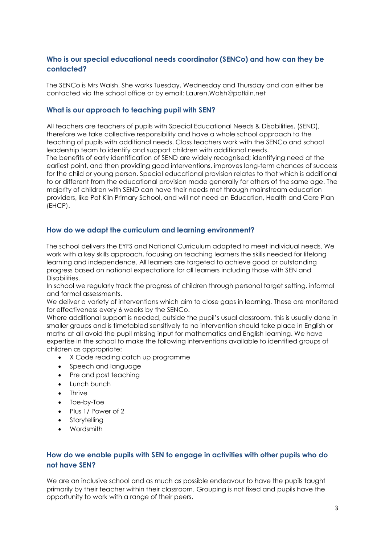## **Who is our special educational needs coordinator (SENCo) and how can they be contacted?**

The SENCo is Mrs Walsh. She works Tuesday, Wednesday and Thursday and can either be contacted via the school office or by email: Lauren.Walsh@potkiln.net

## **What is our approach to teaching pupil with SEN?**

All teachers are teachers of pupils with Special Educational Needs & Disabilities, (SEND), therefore we take collective responsibility and have a whole school approach to the teaching of pupils with additional needs. Class teachers work with the SENCo and school leadership team to identify and support children with additional needs.

The benefits of early identification of SEND are widely recognised; identifying need at the earliest point, and then providing good interventions, improves long-term chances of success for the child or young person. Special educational provision relates to that which is additional to or different from the educational provision made generally for others of the same age. The majority of children with SEND can have their needs met through mainstream education providers, like Pot Kiln Primary School, and will not need an Education, Health and Care Plan (EHCP).

## **How do we adapt the curriculum and learning environment?**

The school delivers the EYFS and National Curriculum adapted to meet individual needs. We work with a key skills approach, focusing on teaching learners the skills needed for lifelong learning and independence. All learners are targeted to achieve good or outstanding progress based on national expectations for all learners including those with SEN and Disabilities.

In school we regularly track the progress of children through personal target setting, informal and formal assessments.

We deliver a variety of interventions which aim to close gaps in learning. These are monitored for effectiveness every 6 weeks by the SENCo.

Where additional support is needed, outside the pupil's usual classroom, this is usually done in smaller groups and is timetabled sensitively to no intervention should take place in English or maths at all avoid the pupil missing input for mathematics and English learning. We have expertise in the school to make the following interventions available to identified groups of children as appropriate:

- X Code reading catch up programme
- Speech and language
- Pre and post teaching
- Lunch bunch
- Thrive
- Toe-by-Toe
- Plus 1/ Power of 2
- Storytelling
- Wordsmith

## **How do we enable pupils with SEN to engage in activities with other pupils who do not have SEN?**

We are an inclusive school and as much as possible endeavour to have the pupils taught primarily by their teacher within their classroom. Grouping is not fixed and pupils have the opportunity to work with a range of their peers.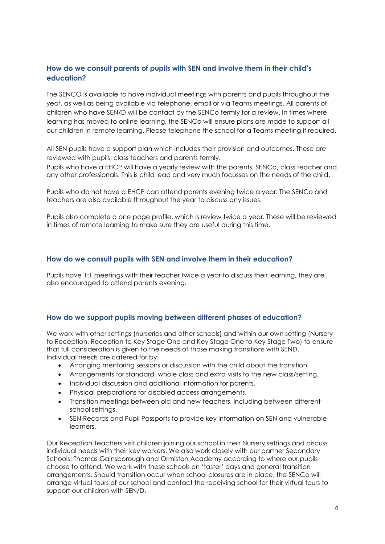## **How do we consult parents of pupils with SEN and involve them in their child's education?**

The SENCO is available to have individual meetings with parents and pupils throughout the year, as well as being available via telephone, email or via Teams meetings. All parents of children who have SEN/D will be contact by the SENCo termly for a review. In times where learning has moved to online learning, the SENCo will ensure plans are made to support all our children in remote learning. Please telephone the school for a Teams meeting if required.

All SEN pupils have a support plan which includes their provision and outcomes. These are reviewed with pupils, class teachers and parents termly.

Pupils who have a EHCP will have a yearly review with the parents, SENCo, class teacher and any other professionals. This is child lead and very much focusses on the needs of the child.

Pupils who do not have a EHCP can attend parents evening twice a year. The SENCo and teachers are also available throughout the year to discuss any issues.

Pupils also complete a one page profile, which is review twice a year. These will be reviewed in times of remote learning to make sure they are useful during this time.

## **How do we consult pupils with SEN and involve them in their education?**

Pupils have 1:1 meetings with their teacher twice a year to discuss their learning, they are also encouraged to attend parents evening.

#### **How do we support pupils moving between different phases of education?**

We work with other settings (nurseries and other schools) and within our own setting (Nursery to Reception, Reception to Key Stage One and Key Stage One to Key Stage Two) to ensure that full consideration is given to the needs of those making transitions with SEND. Individual needs are catered for by:

- Arranging mentoring sessions or discussion with the child about the transition.
- Arrangements for standard, whole class and extra visits to the new class/setting.
- Individual discussion and additional information for parents.
- Physical preparations for disabled access arrangements.
- Transition meetings between old and new teachers, including between different school settings.
- SEN Records and Pupil Passports to provide key information on SEN and vulnerable learners.

Our Reception Teachers visit children joining our school in their Nursery settings and discuss individual needs with their key workers. We also work closely with our partner Secondary Schools: Thomas Gainsborough and Ormiston Academy according to where our pupils choose to attend. We work with these schools on 'taster' days and general transition arrangements. Should transition occur when school closures are in place, the SENCo will arrange virtual tours of our school and contact the receiving school for their virtual tours to support our children with SEN/D.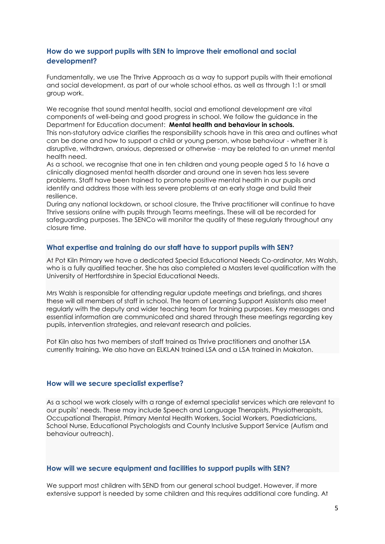## **How do we support pupils with SEN to improve their emotional and social development?**

Fundamentally, we use The Thrive Approach as a way to support pupils with their emotional and social development, as part of our whole school ethos, as well as through 1:1 or small group work.

We recognise that sound mental health, social and emotional development are vital components of well-being and good progress in school. We follow the guidance in the Department for Education document: **Mental health and behaviour in schools.**  This non-statutory advice clarifies the responsibility schools have in this area and outlines what can be done and how to support a child or young person, whose behaviour - whether it is disruptive, withdrawn, anxious, depressed or otherwise - may be related to an unmet mental health need.

As a school, we recognise that one in ten children and young people aged 5 to 16 have a clinically diagnosed mental health disorder and around one in seven has less severe problems. Staff have been trained to promote positive mental health in our pupils and identify and address those with less severe problems at an early stage and build their resilience.

During any national lockdown, or school closure, the Thrive practitioner will continue to have Thrive sessions online with pupils through Teams meetings. These will all be recorded for safeguarding purposes. The SENCo will monitor the quality of these regularly throughout any closure time.

## **What expertise and training do our staff have to support pupils with SEN?**

At Pot Kiln Primary we have a dedicated Special Educational Needs Co-ordinator, Mrs Walsh, who is a fully qualified teacher. She has also completed a Masters level qualification with the University of Hertfordshire in Special Educational Needs.

Mrs Walsh is responsible for attending regular update meetings and briefings, and shares these will all members of staff in school. The team of Learning Support Assistants also meet regularly with the deputy and wider teaching team for training purposes. Key messages and essential information are communicated and shared through these meetings regarding key pupils, intervention strategies, and relevant research and policies.

Pot Kiln also has two members of staff trained as Thrive practitioners and another LSA currently training. We also have an ELKLAN trained LSA and a LSA trained in Makaton.

#### **How will we secure specialist expertise?**

As a school we work closely with a range of external specialist services which are relevant to our pupils' needs. These may include Speech and Language Therapists, Physiotherapists, Occupational Therapist, Primary Mental Health Workers, Social Workers, Paediatricians, School Nurse, Educational Psychologists and County Inclusive Support Service (Autism and behaviour outreach).

#### **How will we secure equipment and facilities to support pupils with SEN?**

We support most children with SEND from our general school budget. However, if more extensive support is needed by some children and this requires additional core funding. At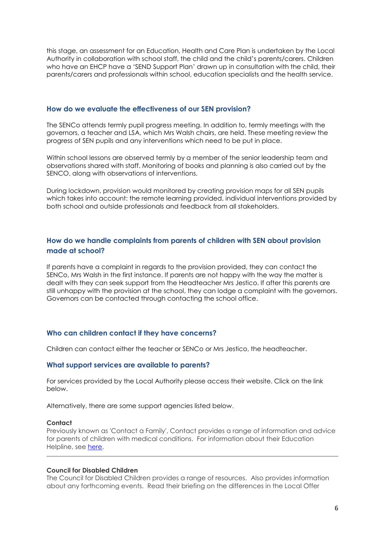this stage, an assessment for an Education, Health and Care Plan is undertaken by the Local Authority in collaboration with school staff, the child and the child's parents/carers. Children who have an EHCP have a 'SEND Support Plan' drawn up in consultation with the child, their parents/carers and professionals within school, education specialists and the health service.

#### **How do we evaluate the effectiveness of our SEN provision?**

The SENCo attends termly pupil progress meeting. In addition to, termly meetings with the governors, a teacher and LSA, which Mrs Walsh chairs, are held. These meeting review the progress of SEN pupils and any interventions which need to be put in place.

Within school lessons are observed termly by a member of the senior leadership team and observations shared with staff. Monitoring of books and planning is also carried out by the SENCO, along with observations of interventions.

During lockdown, provision would monitored by creating provision maps for all SEN pupils which takes into account: the remote learning provided, individual interventions provided by both school and outside professionals and feedback from all stakeholders.

## **How do we handle complaints from parents of children with SEN about provision made at school?**

If parents have a complaint in regards to the provision provided, they can contact the SENCo, Mrs Walsh in the first instance. If parents are not happy with the way the matter is dealt with they can seek support from the Headteacher Mrs Jestico. If after this parents are still unhappy with the provision at the school, they can lodge a complaint with the governors. Governors can be contacted through contacting the school office.

#### **Who can children contact if they have concerns?**

Children can contact either the teacher or SENCo or Mrs Jestico, the headteacher.

#### **What support services are available to parents?**

For services provided by the Local Authority please access their website. Click on the link below.

Alternatively, there are some support agencies listed below.

#### **Contact**

Previously known as 'Contact a Family', Contact provides a range of information and advice for parents of children with medical conditions. For information about their Education Helpline, see [here.](https://contact.org.uk/advice-and-support/)

#### **Council for Disabled Children**

The Council for Disabled Children provides a range of resources. Also provides information about any forthcoming events. Read their briefing on the differences in the Local Offer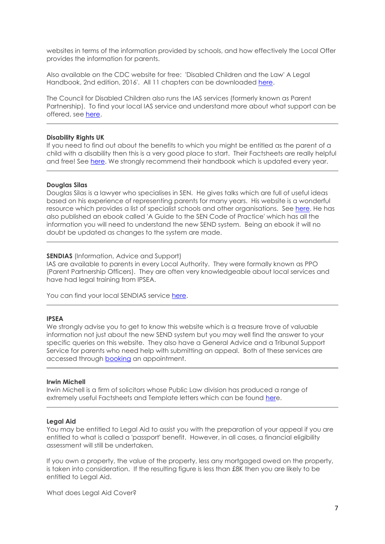websites in terms of the information provided by schools, and how effectively the Local Offer provides the information for parents.

Also available on the CDC website for free: 'Disabled Children and the Law' A Legal Handbook, 2nd edition, 2016'. All 11 chapters can be downloaded [here.](https://councilfordisabledchildren.org.uk/help-resources/resources/disabled-children-legal-handbook-2nd-edition)

The Council for Disabled Children also runs the IAS services (formerly known as Parent Partnership). To find your local IAS service and understand more about what support can be offered, see [here.](https://councilfordisabledchildren.org.uk/information-advice-and-support-services-network/about)

#### **Disability Rights UK**

If you need to find out about the benefits to which you might be entitled as the parent of a child with a disability then this is a very good place to start. Their Factsheets are really helpful and free! See [here.](https://www.disabilityrightsuk.org/how-we-can-help/benefits-information/factsheets) We strongly recommend their handbook which is updated every year.

#### **Douglas Silas**

Douglas Silas is a lawyer who specialises in SEN. He gives talks which are full of useful ideas based on his experience of representing parents for many years. His website is a wonderful resource which provides a list of specialist schools and other organisations. See [here.](https://www.specialeducationalneeds.co.uk/seneducation-info.html) He has also published an ebook called 'A Guide to the SEN Code of Practice' which has all the information you will need to understand the new SEND system. Being an ebook it will no doubt be updated as changes to the system are made.

#### **SENDIAS** (Information, Advice and Support)

IAS are available to parents in every Local Authority. They were formally known as PPO (Parent Partnership Officers). They are often very knowledgeable about local services and have had legal training from IPSEA.

You can find your local SENDIAS service [here.](https://councilfordisabledchildren.org.uk/information-advice-and-support-services-network/frequently-asked-questions/parents)

#### **IPSEA**

We strongly advise you to get to know this website which is a treasure trove of valuable information not just about the new SEND system but you may well find the answer to your specific queries on this website. They also have a General Advice and a Tribunal Support Service for parents who need help with submitting an appeal. Both of these services are accessed through [booking](https://www.ipsea.org.uk/contact/advice-and-support) an appointment.

#### **Irwin Michell**

Irwin Michell is a firm of solicitors whose Public Law division has produced a range of extremely useful Factsheets and Template letters which can be found [here](https://www.irwinmitchell.com/personal/protecting-your-rights/factsheets-and-template-letters).

#### **Legal Aid**

You may be entitled to Legal Aid to assist you with the preparation of your appeal if you are entitled to what is called a 'passport' benefit. However, in all cases, a financial eligibility assessment will still be undertaken.

If you own a property, the value of the property, less any mortgaged owed on the property, is taken into consideration. If the resulting figure is less than £8K then you are likely to be entitled to Legal Aid.

What does Legal Aid Cover?